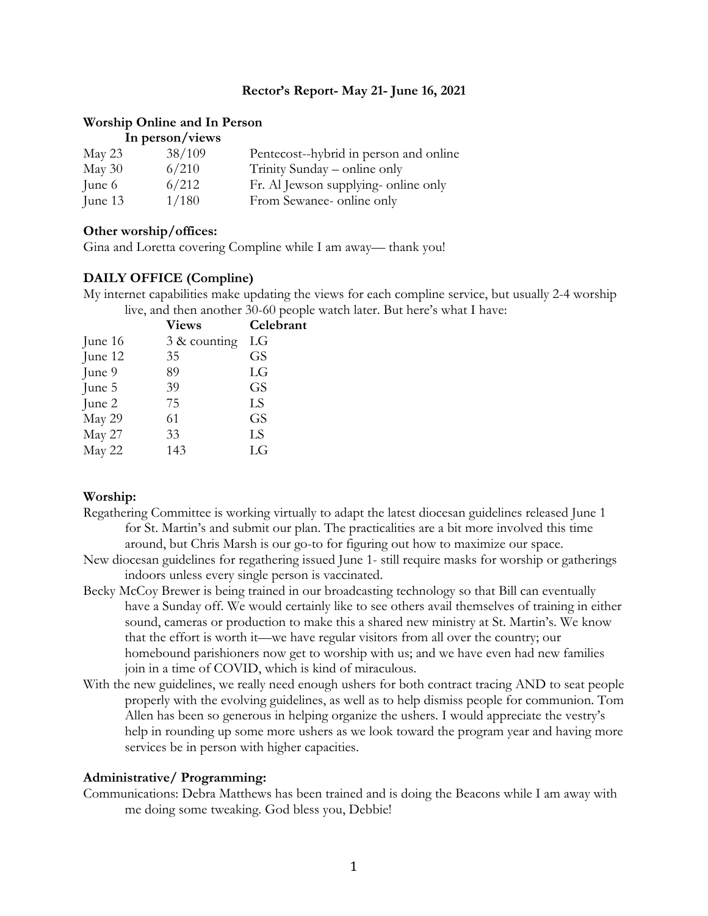### **Rector's Report- May 21- June 16, 2021**

#### **Worship Online and In Person In person/views**

| III person/views |        |                                       |  |
|------------------|--------|---------------------------------------|--|
| May 23           | 38/109 | Pentecost-hybrid in person and online |  |
| May 30           | 6/210  | Trinity Sunday – online only          |  |
| June 6           | 6/212  | Fr. Al Jewson supplying-online only   |  |
| June 13          | 1/180  | From Sewanee- online only             |  |

### **Other worship/offices:**

Gina and Loretta covering Compline while I am away— thank you!

# **DAILY OFFICE (Compline)**

My internet capabilities make updating the views for each compline service, but usually 2-4 worship live, and then another 30-60 people watch later. But here's what I have:

|         | <b>Views</b> | Celebrant |
|---------|--------------|-----------|
| June 16 | 3 & counting | LG        |
| June 12 | 35           | GS        |
| June 9  | 89           | LG        |
| June 5  | 39           | <b>GS</b> |
| June 2  | 75           | LS        |
| May 29  | 61           | <b>GS</b> |
| May 27  | 33           | LS        |
| May 22  | 143          | LG        |
|         |              |           |

#### **Worship:**

- Regathering Committee is working virtually to adapt the latest diocesan guidelines released June 1 for St. Martin's and submit our plan. The practicalities are a bit more involved this time around, but Chris Marsh is our go-to for figuring out how to maximize our space.
- New diocesan guidelines for regathering issued June 1- still require masks for worship or gatherings indoors unless every single person is vaccinated.
- Becky McCoy Brewer is being trained in our broadcasting technology so that Bill can eventually have a Sunday off. We would certainly like to see others avail themselves of training in either sound, cameras or production to make this a shared new ministry at St. Martin's. We know that the effort is worth it—we have regular visitors from all over the country; our homebound parishioners now get to worship with us; and we have even had new families join in a time of COVID, which is kind of miraculous.
- With the new guidelines, we really need enough ushers for both contract tracing AND to seat people properly with the evolving guidelines, as well as to help dismiss people for communion. Tom Allen has been so generous in helping organize the ushers. I would appreciate the vestry's help in rounding up some more ushers as we look toward the program year and having more services be in person with higher capacities.

# **Administrative/ Programming:**

Communications: Debra Matthews has been trained and is doing the Beacons while I am away with me doing some tweaking. God bless you, Debbie!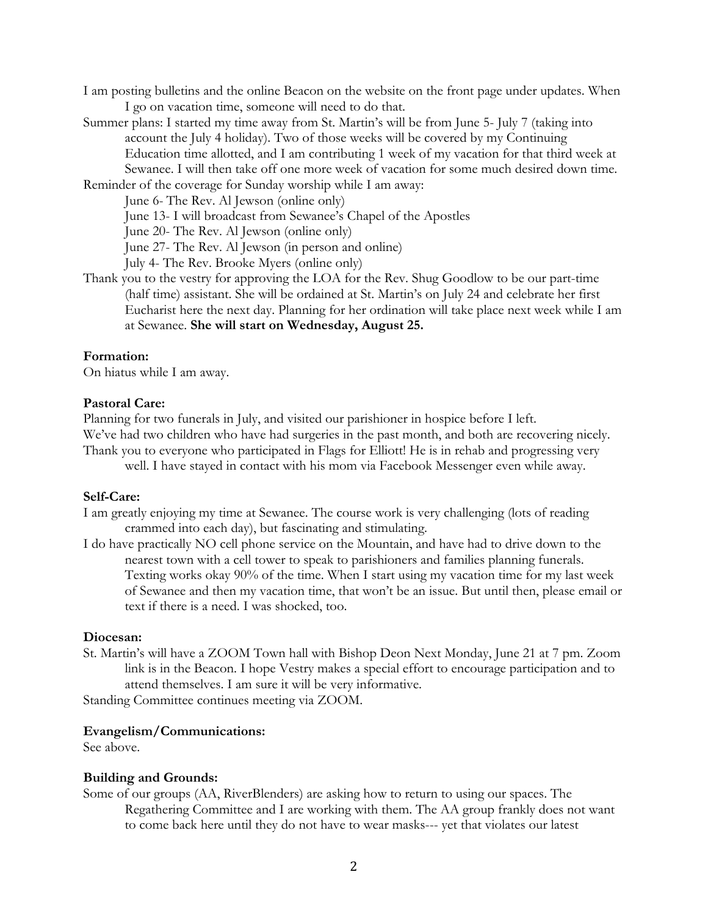I am posting bulletins and the online Beacon on the website on the front page under updates. When I go on vacation time, someone will need to do that.

- Summer plans: I started my time away from St. Martin's will be from June 5- July 7 (taking into account the July 4 holiday). Two of those weeks will be covered by my Continuing Education time allotted, and I am contributing 1 week of my vacation for that third week at Sewanee. I will then take off one more week of vacation for some much desired down time.
- Reminder of the coverage for Sunday worship while I am away:

June 6- The Rev. Al Jewson (online only)

June 13- I will broadcast from Sewanee's Chapel of the Apostles

June 20- The Rev. Al Jewson (online only)

June 27- The Rev. Al Jewson (in person and online)

July 4- The Rev. Brooke Myers (online only)

Thank you to the vestry for approving the LOA for the Rev. Shug Goodlow to be our part-time (half time) assistant. She will be ordained at St. Martin's on July 24 and celebrate her first Eucharist here the next day. Planning for her ordination will take place next week while I am at Sewanee. **She will start on Wednesday, August 25.**

# **Formation:**

On hiatus while I am away.

# **Pastoral Care:**

Planning for two funerals in July, and visited our parishioner in hospice before I left. We've had two children who have had surgeries in the past month, and both are recovering nicely. Thank you to everyone who participated in Flags for Elliott! He is in rehab and progressing very well. I have stayed in contact with his mom via Facebook Messenger even while away.

# **Self-Care:**

I am greatly enjoying my time at Sewanee. The course work is very challenging (lots of reading crammed into each day), but fascinating and stimulating.

I do have practically NO cell phone service on the Mountain, and have had to drive down to the nearest town with a cell tower to speak to parishioners and families planning funerals. Texting works okay 90% of the time. When I start using my vacation time for my last week of Sewanee and then my vacation time, that won't be an issue. But until then, please email or text if there is a need. I was shocked, too.

# **Diocesan:**

St. Martin's will have a ZOOM Town hall with Bishop Deon Next Monday, June 21 at 7 pm. Zoom link is in the Beacon. I hope Vestry makes a special effort to encourage participation and to attend themselves. I am sure it will be very informative.

Standing Committee continues meeting via ZOOM.

# **Evangelism/Communications:**

See above.

# **Building and Grounds:**

Some of our groups (AA, RiverBlenders) are asking how to return to using our spaces. The Regathering Committee and I are working with them. The AA group frankly does not want to come back here until they do not have to wear masks--- yet that violates our latest